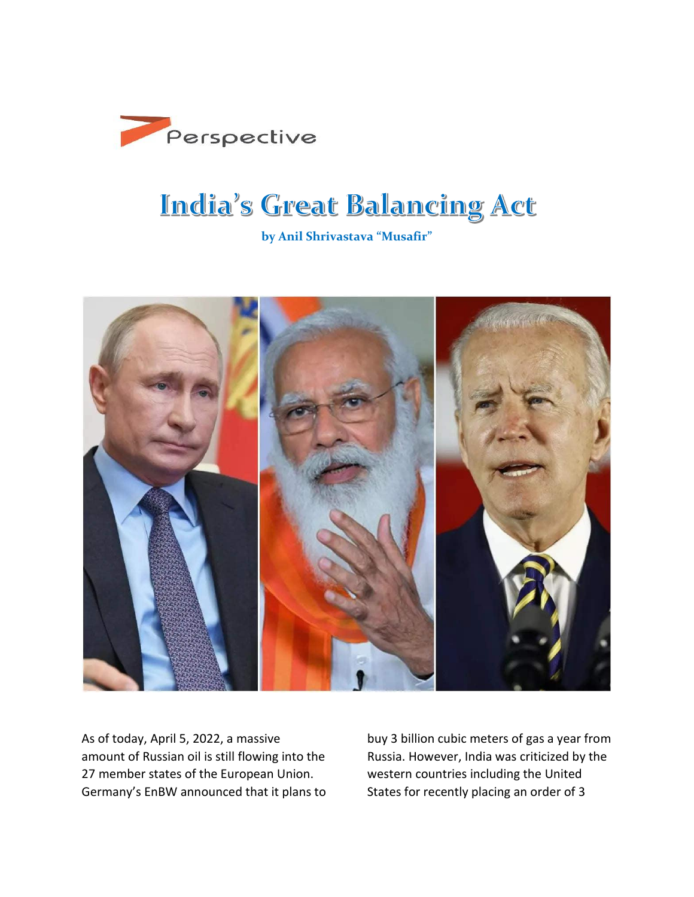

## **India's Great Balancing Act**

**by Anil Shrivastava "Musafir"**



As of today, April 5, 2022, a massive amount of Russian oil is still flowing into the 27 member states of the European Union. Germany's EnBW announced that it plans to buy 3 billion cubic meters of gas a year from Russia. However, India was criticized by the western countries including the United States for recently placing an order of 3